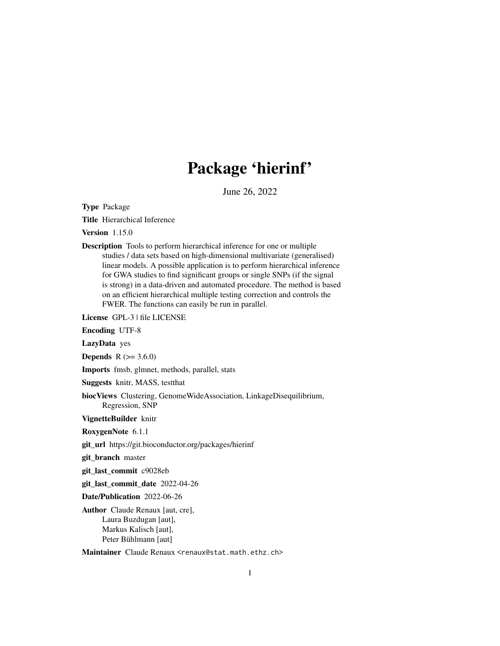# Package 'hierinf'

June 26, 2022

<span id="page-0-0"></span>Type Package

Title Hierarchical Inference

Version 1.15.0

Description Tools to perform hierarchical inference for one or multiple studies / data sets based on high-dimensional multivariate (generalised) linear models. A possible application is to perform hierarchical inference for GWA studies to find significant groups or single SNPs (if the signal is strong) in a data-driven and automated procedure. The method is based on an efficient hierarchical multiple testing correction and controls the FWER. The functions can easily be run in parallel.

License GPL-3 | file LICENSE

Encoding UTF-8

LazyData yes

**Depends** R  $(>= 3.6.0)$ 

Imports fmsb, glmnet, methods, parallel, stats

Suggests knitr, MASS, testthat

biocViews Clustering, GenomeWideAssociation, LinkageDisequilibrium, Regression, SNP

VignetteBuilder knitr

RoxygenNote 6.1.1

git\_url https://git.bioconductor.org/packages/hierinf

git\_branch master

git\_last\_commit c9028eb

git\_last\_commit\_date 2022-04-26

Date/Publication 2022-06-26

Author Claude Renaux [aut, cre], Laura Buzdugan [aut], Markus Kalisch [aut], Peter Bühlmann [aut]

Maintainer Claude Renaux <renaux@stat.math.ethz.ch>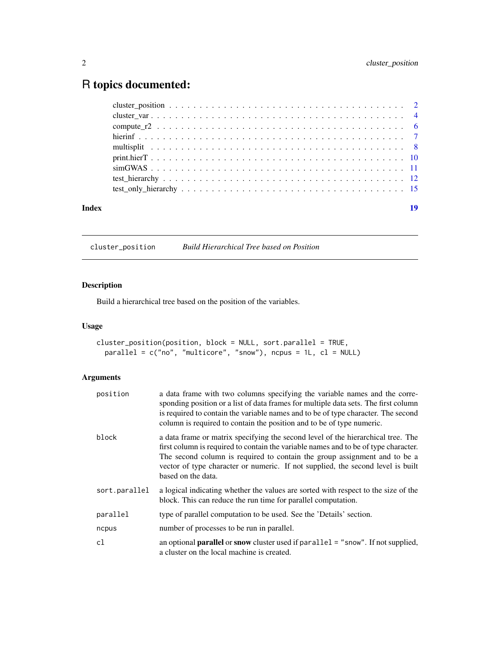## <span id="page-1-0"></span>R topics documented:

| Index | 19 |
|-------|----|

<span id="page-1-1"></span>cluster\_position *Build Hierarchical Tree based on Position*

#### Description

Build a hierarchical tree based on the position of the variables.

#### Usage

```
cluster_position(position, block = NULL, sort.parallel = TRUE,
 parallel = c("no", "multicore", "snow"), ncpus = 1L, cl = NULL)
```

| position      | a data frame with two columns specifying the variable names and the corre-<br>sponding position or a list of data frames for multiple data sets. The first column<br>is required to contain the variable names and to be of type character. The second<br>column is required to contain the position and to be of type numeric.                               |
|---------------|---------------------------------------------------------------------------------------------------------------------------------------------------------------------------------------------------------------------------------------------------------------------------------------------------------------------------------------------------------------|
| block         | a data frame or matrix specifying the second level of the hierarchical tree. The<br>first column is required to contain the variable names and to be of type character.<br>The second column is required to contain the group assignment and to be a<br>vector of type character or numeric. If not supplied, the second level is built<br>based on the data. |
| sort.parallel | a logical indicating whether the values are sorted with respect to the size of the<br>block. This can reduce the run time for parallel computation.                                                                                                                                                                                                           |
| parallel      | type of parallel computation to be used. See the 'Details' section.                                                                                                                                                                                                                                                                                           |
| ncpus         | number of processes to be run in parallel.                                                                                                                                                                                                                                                                                                                    |
| cl            | an optional <b>parallel</b> or snow cluster used if parallel = "snow". If not supplied,<br>a cluster on the local machine is created.                                                                                                                                                                                                                         |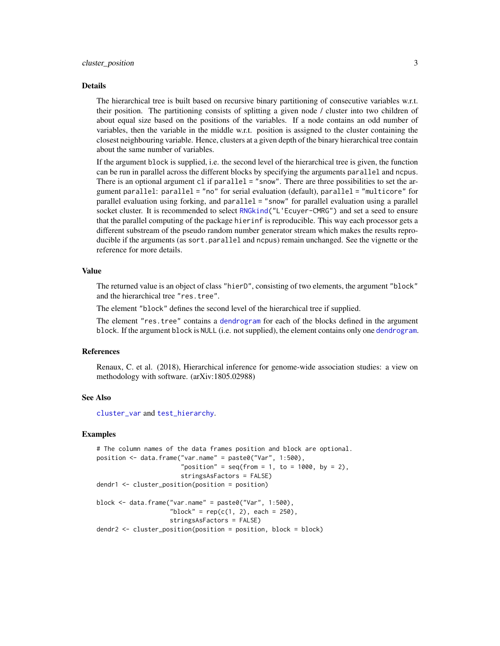#### <span id="page-2-0"></span>Details

The hierarchical tree is built based on recursive binary partitioning of consecutive variables w.r.t. their position. The partitioning consists of splitting a given node / cluster into two children of about equal size based on the positions of the variables. If a node contains an odd number of variables, then the variable in the middle w.r.t. position is assigned to the cluster containing the closest neighbouring variable. Hence, clusters at a given depth of the binary hierarchical tree contain about the same number of variables.

If the argument block is supplied, i.e. the second level of the hierarchical tree is given, the function can be run in parallel across the different blocks by specifying the arguments parallel and ncpus. There is an optional argument cl if parallel = "snow". There are three possibilities to set the argument parallel: parallel = "no" for serial evaluation (default), parallel = "multicore" for parallel evaluation using forking, and parallel = "snow" for parallel evaluation using a parallel socket cluster. It is recommended to select [RNGkind\(](#page-0-0)"L'Ecuyer-CMRG") and set a seed to ensure that the parallel computing of the package hierinf is reproducible. This way each processor gets a different substream of the pseudo random number generator stream which makes the results reproducible if the arguments (as sort.parallel and ncpus) remain unchanged. See the vignette or the reference for more details.

#### Value

The returned value is an object of class "hierD", consisting of two elements, the argument "block" and the hierarchical tree "res.tree".

The element "block" defines the second level of the hierarchical tree if supplied.

The element "res.tree" contains a [dendrogram](#page-0-0) for each of the blocks defined in the argument block. If the argument block is NULL (i.e. not supplied), the element contains only one [dendrogram](#page-0-0).

#### References

Renaux, C. et al. (2018), Hierarchical inference for genome-wide association studies: a view on methodology with software. (arXiv:1805.02988)

#### See Also

[cluster\\_var](#page-3-1) and [test\\_hierarchy](#page-11-1).

#### Examples

```
# The column names of the data frames position and block are optional.
position <- data.frame("var.name" = paste0("Var", 1:500),
                       "position" = seq(from = 1, to = 1000, by = 2),stringsAsFactors = FALSE)
dendr1 <- cluster_position(position = position)
block <- data.frame("var.name" = paste0("Var", 1:500),
                    "block" = rep(c(1, 2), each = 250),
                    stringsAsFactors = FALSE)
```
dendr2 <- cluster\_position(position = position, block = block)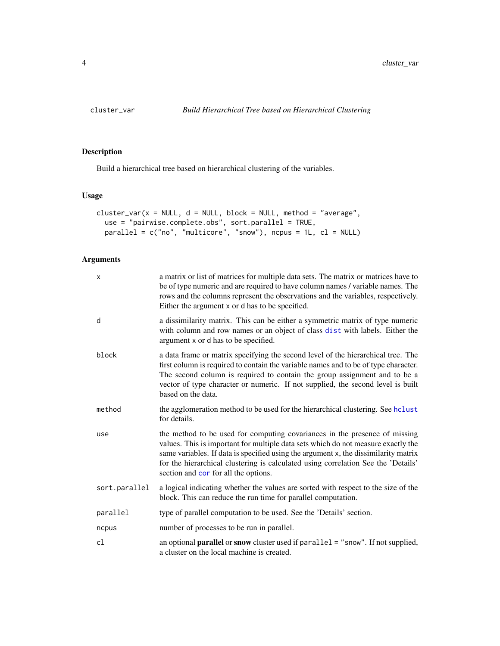<span id="page-3-1"></span><span id="page-3-0"></span>

#### Description

Build a hierarchical tree based on hierarchical clustering of the variables.

#### Usage

```
cluster_var(x = NULL, d = NULL, block = NULL, method = "average",
  use = "pairwise.complete.obs", sort.parallel = TRUE,
 parallel = c("no", "multicore", "snow"), ncpus = 1L, cl = NULL)
```

| $\mathsf{x}$  | a matrix or list of matrices for multiple data sets. The matrix or matrices have to<br>be of type numeric and are required to have column names / variable names. The<br>rows and the columns represent the observations and the variables, respectively.<br>Either the argument x or d has to be specified.                                                                        |
|---------------|-------------------------------------------------------------------------------------------------------------------------------------------------------------------------------------------------------------------------------------------------------------------------------------------------------------------------------------------------------------------------------------|
| d             | a dissimilarity matrix. This can be either a symmetric matrix of type numeric<br>with column and row names or an object of class dist with labels. Either the<br>argument x or d has to be specified.                                                                                                                                                                               |
| block         | a data frame or matrix specifying the second level of the hierarchical tree. The<br>first column is required to contain the variable names and to be of type character.<br>The second column is required to contain the group assignment and to be a<br>vector of type character or numeric. If not supplied, the second level is built<br>based on the data.                       |
| method        | the agglomeration method to be used for the hierarchical clustering. See hclust<br>for details.                                                                                                                                                                                                                                                                                     |
| use           | the method to be used for computing covariances in the presence of missing<br>values. This is important for multiple data sets which do not measure exactly the<br>same variables. If data is specified using the argument x, the dissimilarity matrix<br>for the hierarchical clustering is calculated using correlation See the 'Details'<br>section and cor for all the options. |
| sort.parallel | a logical indicating whether the values are sorted with respect to the size of the<br>block. This can reduce the run time for parallel computation.                                                                                                                                                                                                                                 |
| parallel      | type of parallel computation to be used. See the 'Details' section.                                                                                                                                                                                                                                                                                                                 |
| ncpus         | number of processes to be run in parallel.                                                                                                                                                                                                                                                                                                                                          |
| cl            | an optional <b>parallel</b> or snow cluster used if parallel = "snow". If not supplied,<br>a cluster on the local machine is created.                                                                                                                                                                                                                                               |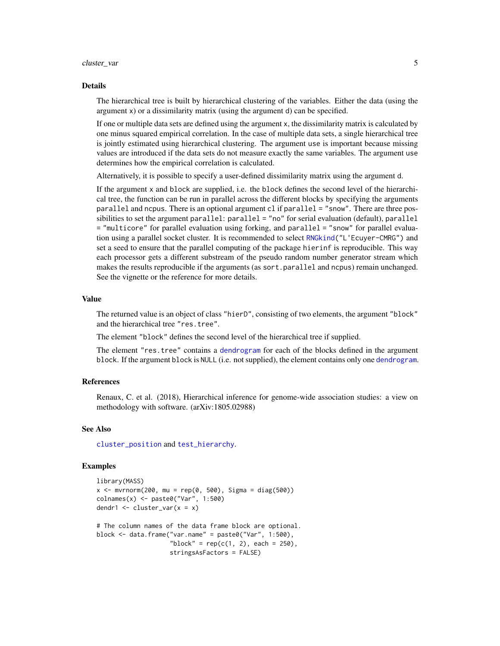#### <span id="page-4-0"></span>cluster\_var 5

#### Details

The hierarchical tree is built by hierarchical clustering of the variables. Either the data (using the argument x) or a dissimilarity matrix (using the argument d) can be specified.

If one or multiple data sets are defined using the argument x, the dissimilarity matrix is calculated by one minus squared empirical correlation. In the case of multiple data sets, a single hierarchical tree is jointly estimated using hierarchical clustering. The argument use is important because missing values are introduced if the data sets do not measure exactly the same variables. The argument use determines how the empirical correlation is calculated.

Alternatively, it is possible to specify a user-defined dissimilarity matrix using the argument d.

If the argument x and block are supplied, i.e. the block defines the second level of the hierarchical tree, the function can be run in parallel across the different blocks by specifying the arguments parallel and ncpus. There is an optional argument cl if parallel = "snow". There are three possibilities to set the argument parallel: parallel = "no" for serial evaluation (default), parallel = "multicore" for parallel evaluation using forking, and parallel = "snow" for parallel evaluation using a parallel socket cluster. It is recommended to select [RNGkind\(](#page-0-0)"L'Ecuyer-CMRG") and set a seed to ensure that the parallel computing of the package hierinf is reproducible. This way each processor gets a different substream of the pseudo random number generator stream which makes the results reproducible if the arguments (as sort.parallel and ncpus) remain unchanged. See the vignette or the reference for more details.

#### Value

The returned value is an object of class "hierD", consisting of two elements, the argument "block" and the hierarchical tree "res.tree".

The element "block" defines the second level of the hierarchical tree if supplied.

The element "res.tree" contains a [dendrogram](#page-0-0) for each of the blocks defined in the argument block. If the argument block is NULL (i.e. not supplied), the element contains only one [dendrogram](#page-0-0).

#### References

Renaux, C. et al. (2018), Hierarchical inference for genome-wide association studies: a view on methodology with software. (arXiv:1805.02988)

#### See Also

[cluster\\_position](#page-1-1) and [test\\_hierarchy](#page-11-1).

#### Examples

```
library(MASS)
x \le - mvrnorm(200, mu = rep(0, 500), Sigma = diag(500))
colnames(x) <- paste0("Var", 1:500)
dendr1 <- cluster_var(x = x)
# The column names of the data frame block are optional.
block <- data.frame("var.name" = paste0("Var", 1:500),
                    "block" = rep(c(1, 2), each = 250),
                    stringsAsFactors = FALSE)
```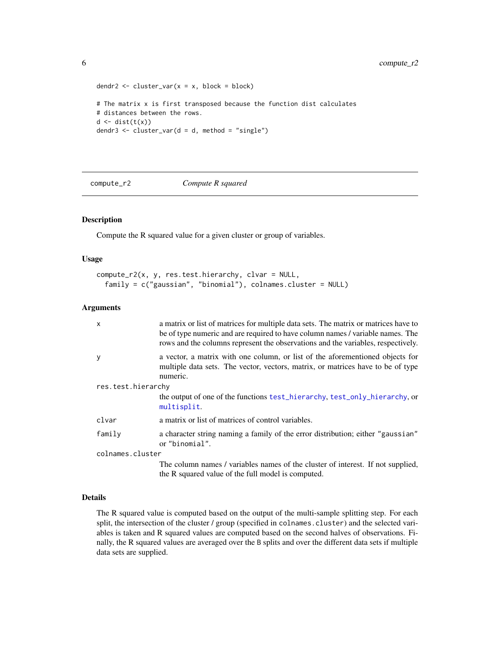```
dendr2 <- cluster_var(x = x, block = block)
# The matrix x is first transposed because the function dist calculates
# distances between the rows.
d \leftarrow dist(t(x))dendr3 <- cluster_var(d = d, method = "single")
```
<span id="page-5-1"></span>compute\_r2 *Compute R squared*

#### Description

Compute the R squared value for a given cluster or group of variables.

#### Usage

```
compute_r2(x, y, res.test.hierarchy, clvar = NULL,
  family = c("gaussian", "binomial"), colnames.cluster = NULL)
```
#### Arguments

| $\mathsf{x}$       | a matrix or list of matrices for multiple data sets. The matrix or matrices have to<br>be of type numeric and are required to have column names / variable names. The<br>rows and the columns represent the observations and the variables, respectively. |  |
|--------------------|-----------------------------------------------------------------------------------------------------------------------------------------------------------------------------------------------------------------------------------------------------------|--|
| y                  | a vector, a matrix with one column, or list of the aforementioned objects for<br>multiple data sets. The vector, vectors, matrix, or matrices have to be of type<br>numeric.                                                                              |  |
| res.test.hierarchy |                                                                                                                                                                                                                                                           |  |
|                    | the output of one of the functions test_hierarchy, test_only_hierarchy, or<br>multisplit.                                                                                                                                                                 |  |
| clvar              | a matrix or list of matrices of control variables.                                                                                                                                                                                                        |  |
| family             | a character string naming a family of the error distribution; either "gaussian"<br>or "binomial".                                                                                                                                                         |  |
| colnames.cluster   |                                                                                                                                                                                                                                                           |  |
|                    | The column names / variables names of the cluster of interest. If not supplied,<br>the R squared value of the full model is computed.                                                                                                                     |  |

#### Details

The R squared value is computed based on the output of the multi-sample splitting step. For each split, the intersection of the cluster / group (specified in colnames.cluster) and the selected variables is taken and R squared values are computed based on the second halves of observations. Finally, the R squared values are averaged over the B splits and over the different data sets if multiple data sets are supplied.

<span id="page-5-0"></span>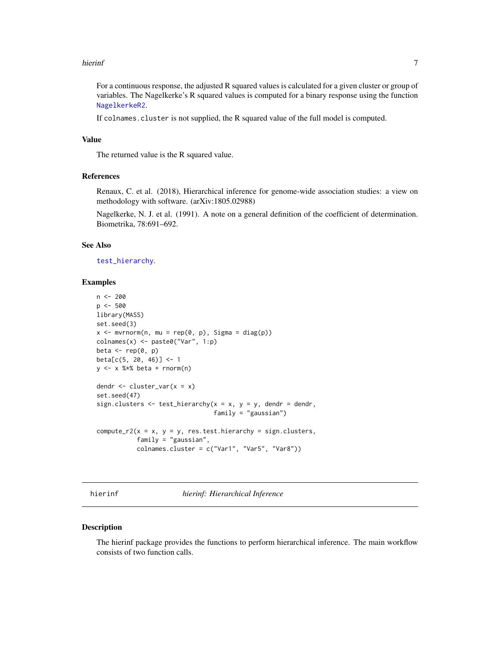#### <span id="page-6-0"></span>hierinf 7 and 7 and 7 and 7 and 7 and 7 and 7 and 7 and 7 and 7 and 7 and 7 and 7 and 7 and 7 and 7 and 7 and 7

For a continuous response, the adjusted R squared values is calculated for a given cluster or group of variables. The Nagelkerke's R squared values is computed for a binary response using the function [NagelkerkeR2](#page-0-0).

If colnames.cluster is not supplied, the R squared value of the full model is computed.

#### Value

The returned value is the R squared value.

#### References

Renaux, C. et al. (2018), Hierarchical inference for genome-wide association studies: a view on methodology with software. (arXiv:1805.02988)

Nagelkerke, N. J. et al. (1991). A note on a general definition of the coefficient of determination. Biometrika, 78:691–692.

#### See Also

[test\\_hierarchy](#page-11-1).

#### Examples

```
n <- 200
p <- 500
library(MASS)
set.seed(3)
x \le -mvrnorm(n, mu = rep(0, p), Signa = diag(p))\text{colnames}(x) \leq \text{past} \Theta("Var", 1:p)beta \leq rep(0, p)
beta[c(5, 20, 46)] <- 1
y \leq -x %*% beta + rnorm(n)
dendr <- cluster_var(x = x)
set.seed(47)
sign.clusters \leq test_hierarchy(x = x, y = y, dendr = dendr,
                                  family = "gaussian")
compute_r2(x = x, y = y, res.test.hierarchy = sign.classfamily = "gaussian",
           colnames.cluster = c("Var1", "Var5", "Var8"))
```
hierinf *hierinf: Hierarchical Inference*

#### Description

The hierinf package provides the functions to perform hierarchical inference. The main workflow consists of two function calls.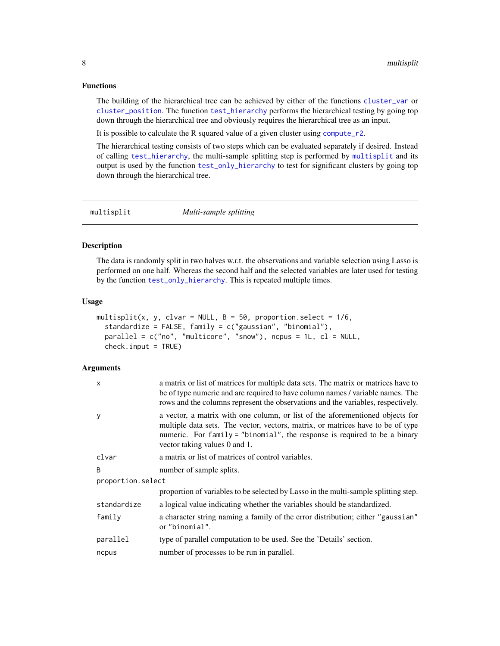#### <span id="page-7-0"></span>Functions

The building of the hierarchical tree can be achieved by either of the functions [cluster\\_var](#page-3-1) or [cluster\\_position](#page-1-1). The function [test\\_hierarchy](#page-11-1) performs the hierarchical testing by going top down through the hierarchical tree and obviously requires the hierarchical tree as an input.

It is possible to calculate the R squared value of a given cluster using [compute\\_r2](#page-5-1).

The hierarchical testing consists of two steps which can be evaluated separately if desired. Instead of calling [test\\_hierarchy](#page-11-1), the multi-sample splitting step is performed by [multisplit](#page-7-1) and its output is used by the function [test\\_only\\_hierarchy](#page-14-1) to test for significant clusters by going top down through the hierarchical tree.

<span id="page-7-1"></span>multisplit *Multi-sample splitting*

#### Description

The data is randomly split in two halves w.r.t. the observations and variable selection using Lasso is performed on one half. Whereas the second half and the selected variables are later used for testing by the function [test\\_only\\_hierarchy](#page-14-1). This is repeated multiple times.

#### Usage

```
multisplit(x, y, clvar = NULL, B = 50, proportion.select = 1/6,
  standardize = FALSE, family = c("gaussian", "binomial"),
 parallel = c("no", "multicore", "snow"), ncpus = 1L, cl = NULL,
 check.input = TRUE)
```

| X                 | a matrix or list of matrices for multiple data sets. The matrix or matrices have to<br>be of type numeric and are required to have column names / variable names. The<br>rows and the columns represent the observations and the variables, respectively.                      |  |
|-------------------|--------------------------------------------------------------------------------------------------------------------------------------------------------------------------------------------------------------------------------------------------------------------------------|--|
| У                 | a vector, a matrix with one column, or list of the aforementioned objects for<br>multiple data sets. The vector, vectors, matrix, or matrices have to be of type<br>numeric. For family = "binomial", the response is required to be a binary<br>vector taking values 0 and 1. |  |
| clvar             | a matrix or list of matrices of control variables.                                                                                                                                                                                                                             |  |
| B                 | number of sample splits.                                                                                                                                                                                                                                                       |  |
| proportion.select |                                                                                                                                                                                                                                                                                |  |
|                   | proportion of variables to be selected by Lasso in the multi-sample splitting step.                                                                                                                                                                                            |  |
| standardize       | a logical value indicating whether the variables should be standardized.                                                                                                                                                                                                       |  |
| family            | a character string naming a family of the error distribution; either "gaussian"<br>or "binomial".                                                                                                                                                                              |  |
| parallel          | type of parallel computation to be used. See the 'Details' section.                                                                                                                                                                                                            |  |
| ncpus             | number of processes to be run in parallel.                                                                                                                                                                                                                                     |  |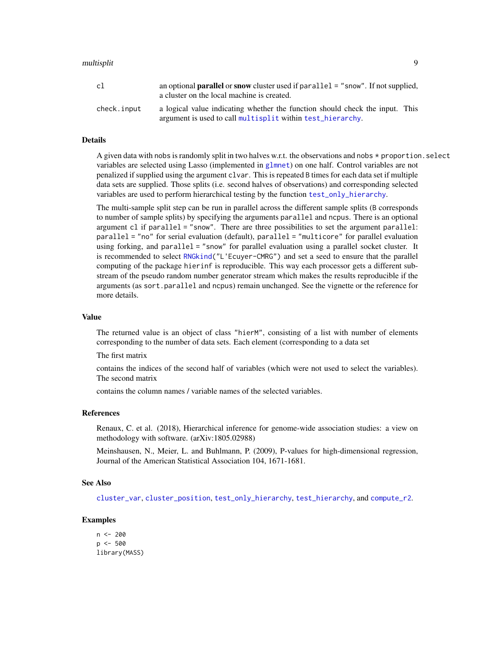#### <span id="page-8-0"></span>multisplit 9

| cl          | an optional <b>parallel</b> or snow cluster used if $parallel = "snow".$ If not supplied,<br>a cluster on the local machine is created.    |
|-------------|--------------------------------------------------------------------------------------------------------------------------------------------|
| check.input | a logical value indicating whether the function should check the input. This<br>argument is used to call multisplit within test_hierarchy. |

#### Details

A given data with nobs is randomly split in two halves w.r.t. the observations and nobs  $\star$  proportion. select variables are selected using Lasso (implemented in [glmnet](#page-0-0)) on one half. Control variables are not penalized if supplied using the argument clvar. This is repeated B times for each data set if multiple data sets are supplied. Those splits (i.e. second halves of observations) and corresponding selected variables are used to perform hierarchical testing by the function [test\\_only\\_hierarchy](#page-14-1).

The multi-sample split step can be run in parallel across the different sample splits (B corresponds to number of sample splits) by specifying the arguments parallel and ncpus. There is an optional argument cl if parallel = "snow". There are three possibilities to set the argument parallel: parallel = "no" for serial evaluation (default), parallel = "multicore" for parallel evaluation using forking, and parallel = "snow" for parallel evaluation using a parallel socket cluster. It is recommended to select [RNGkind\(](#page-0-0)"L'Ecuyer-CMRG") and set a seed to ensure that the parallel computing of the package hierinf is reproducible. This way each processor gets a different substream of the pseudo random number generator stream which makes the results reproducible if the arguments (as sort.parallel and ncpus) remain unchanged. See the vignette or the reference for more details.

#### Value

The returned value is an object of class "hierM", consisting of a list with number of elements corresponding to the number of data sets. Each element (corresponding to a data set

The first matrix

contains the indices of the second half of variables (which were not used to select the variables). The second matrix

contains the column names / variable names of the selected variables.

#### References

Renaux, C. et al. (2018), Hierarchical inference for genome-wide association studies: a view on methodology with software. (arXiv:1805.02988)

Meinshausen, N., Meier, L. and Buhlmann, P. (2009), P-values for high-dimensional regression, Journal of the American Statistical Association 104, 1671-1681.

#### See Also

[cluster\\_var](#page-3-1), [cluster\\_position](#page-1-1), [test\\_only\\_hierarchy](#page-14-1), [test\\_hierarchy](#page-11-1), and [compute\\_r2](#page-5-1).

#### Examples

 $n < -200$  $p \le -500$ library(MASS)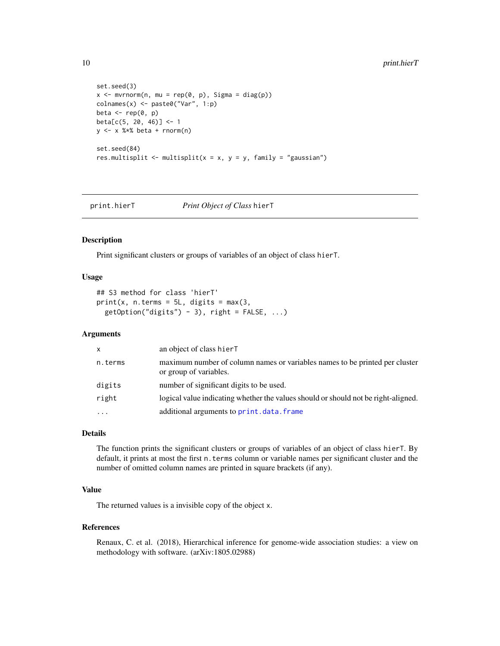```
set.seed(3)
x \leq -mvrnorm(n, mu = rep(0, p), Sigma = diag(p))colnames(x) <- paste0("Var", 1:p)
beta \leq rep(0, p)
beta[c(5, 20, 46)] <- 1
y <- x %*% beta + rnorm(n)
set.seed(84)
res.multisplit <- multisplit(x = x, y = y, family = "gaussian")
```
<span id="page-9-1"></span>print.hierT *Print Object of Class* hierT

#### Description

Print significant clusters or groups of variables of an object of class hierT.

#### Usage

```
## S3 method for class 'hierT'
print(x, n.terms = 5L, digits = max(3,getOption("digits") - 3), right = FALSE, ...)
```
#### Arguments

| X         | an object of class hierT                                                                              |
|-----------|-------------------------------------------------------------------------------------------------------|
| n.terms   | maximum number of column names or variables names to be printed per cluster<br>or group of variables. |
| digits    | number of significant digits to be used.                                                              |
| right     | logical value indicating whether the values should or should not be right-aligned.                    |
| $\ddotsc$ | additional arguments to print.data.frame                                                              |

#### Details

The function prints the significant clusters or groups of variables of an object of class hierT. By default, it prints at most the first n. terms column or variable names per significant cluster and the number of omitted column names are printed in square brackets (if any).

#### Value

The returned values is a invisible copy of the object x.

#### References

Renaux, C. et al. (2018), Hierarchical inference for genome-wide association studies: a view on methodology with software. (arXiv:1805.02988)

<span id="page-9-0"></span>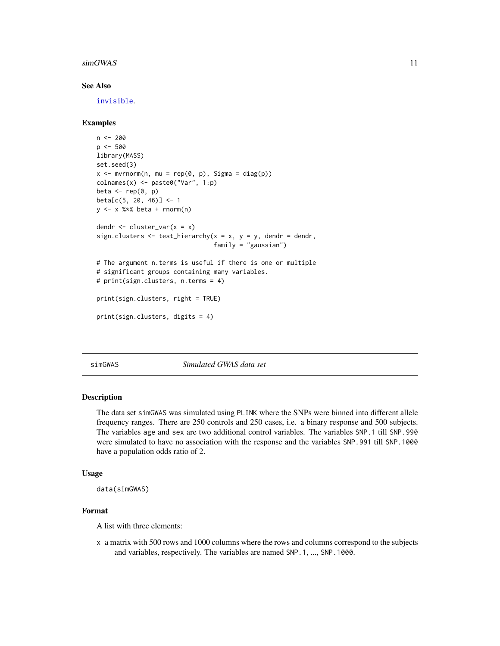#### <span id="page-10-0"></span> $\sin$ GWAS 11

#### See Also

[invisible](#page-0-0).

#### Examples

```
n <- 200
p \le -500library(MASS)
set.seed(3)
x \le - mvrnorm(n, mu = rep(0, p), Sigma = diag(p))
\text{colnames}(x) \leq \text{past} \Theta("Var", 1:p)beta \leq rep(0, p)
beta[c(5, 20, 46)] <- 1
y \le -x %*% beta + rnorm(n)
dendr \leq cluster_var(x = x)
sign.clusters \leq test_hierarchy(x = x, y = y, dendr = dendr,
                                  family = "gaussian")
# The argument n.terms is useful if there is one or multiple
# significant groups containing many variables.
# print(sign.clusters, n.terms = 4)
print(sign.clusters, right = TRUE)
print(sign.clusters, digits = 4)
```
simGWAS *Simulated GWAS data set*

#### Description

The data set simGWAS was simulated using PLINK where the SNPs were binned into different allele frequency ranges. There are 250 controls and 250 cases, i.e. a binary response and 500 subjects. The variables age and sex are two additional control variables. The variables SNP.1 till SNP.990 were simulated to have no association with the response and the variables SNP.991 till SNP.1000 have a population odds ratio of 2.

#### Usage

```
data(simGWAS)
```
#### Format

A list with three elements:

x a matrix with 500 rows and 1000 columns where the rows and columns correspond to the subjects and variables, respectively. The variables are named SNP.1, ..., SNP.1000.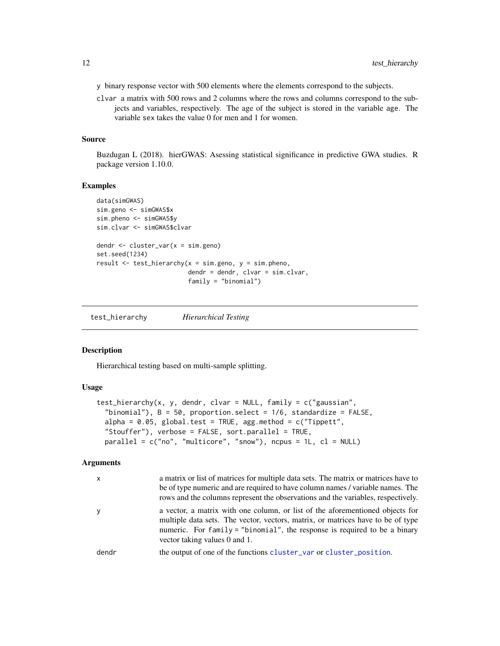- <span id="page-11-0"></span>y binary response vector with 500 elements where the elements correspond to the subjects.
- clvar a matrix with 500 rows and 2 columns where the rows and columns correspond to the subjects and variables, respectively. The age of the subject is stored in the variable age. The variable sex takes the value 0 for men and 1 for women.

#### Source

Buzdugan L (2018). hierGWAS: Asessing statistical significance in predictive GWA studies. R package version 1.10.0.

#### Examples

```
data(simGWAS)
sim.geno <- simGWAS$x
sim.pheno <- simGWAS$y
sim.clvar <- simGWAS$clvar
dendr <- cluster_var(x = sim.geno)
set.seed(1234)
result \leq test_hierarchy(x = sim.geno, y = sim.pheno,
                         dendr = dendr, clvar = sim.clvar,
                         family = "binomial")
```
<span id="page-11-1"></span>test\_hierarchy *Hierarchical Testing*

#### **Description**

Hierarchical testing based on multi-sample splitting.

#### Usage

```
test_hierarchy(x, y, dendr, clvar = NULL, family = c("gaussian",
  "binomial"), B = 50, proportion.select = 1/6, standardize = FALSE,
  alpha = 0.05, global.test = TRUE, agg.method = c("Tippett","Stouffer"), verbose = FALSE, sort.parallel = TRUE,
 parallel = c("no", "multicore", "snow"), ncpus = 1L, cl = NULL)
```

| $\mathsf{x}$ | a matrix or list of matrices for multiple data sets. The matrix or matrices have to<br>be of type numeric and are required to have column names / variable names. The<br>rows and the columns represent the observations and the variables, respectively.                      |
|--------------|--------------------------------------------------------------------------------------------------------------------------------------------------------------------------------------------------------------------------------------------------------------------------------|
| y            | a vector, a matrix with one column, or list of the aforementioned objects for<br>multiple data sets. The vector, vectors, matrix, or matrices have to be of type<br>numeric. For family = "binomial", the response is required to be a binary<br>vector taking values 0 and 1. |
| dendr        | the output of one of the functions cluster var or cluster position.                                                                                                                                                                                                            |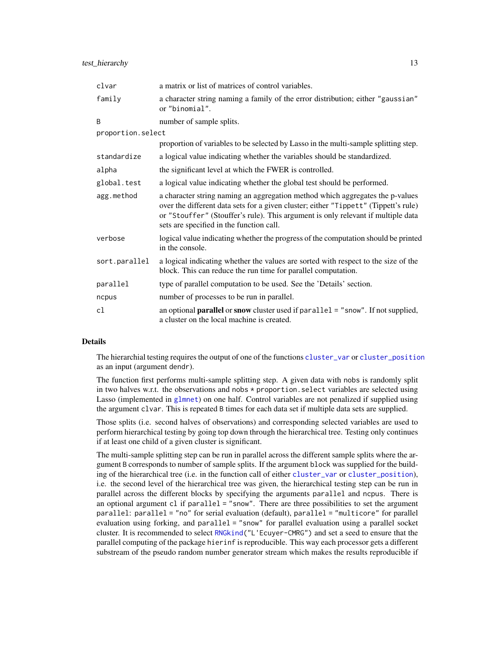<span id="page-12-0"></span>

| clvar             | a matrix or list of matrices of control variables.                                                                                                                                                                                                                                                   |
|-------------------|------------------------------------------------------------------------------------------------------------------------------------------------------------------------------------------------------------------------------------------------------------------------------------------------------|
| family            | a character string naming a family of the error distribution; either "gaussian"<br>or "binomial".                                                                                                                                                                                                    |
| B                 | number of sample splits.                                                                                                                                                                                                                                                                             |
| proportion.select |                                                                                                                                                                                                                                                                                                      |
|                   | proportion of variables to be selected by Lasso in the multi-sample splitting step.                                                                                                                                                                                                                  |
| standardize       | a logical value indicating whether the variables should be standardized.                                                                                                                                                                                                                             |
| alpha             | the significant level at which the FWER is controlled.                                                                                                                                                                                                                                               |
| global.test       | a logical value indicating whether the global test should be performed.                                                                                                                                                                                                                              |
| agg.method        | a character string naming an aggregation method which aggregates the p-values<br>over the different data sets for a given cluster; either "Tippett" (Tippett's rule)<br>or "Stouffer" (Stouffer's rule). This argument is only relevant if multiple data<br>sets are specified in the function call. |
| verbose           | logical value indicating whether the progress of the computation should be printed<br>in the console.                                                                                                                                                                                                |
| sort.parallel     | a logical indicating whether the values are sorted with respect to the size of the<br>block. This can reduce the run time for parallel computation.                                                                                                                                                  |
| parallel          | type of parallel computation to be used. See the 'Details' section.                                                                                                                                                                                                                                  |
| ncpus             | number of processes to be run in parallel.                                                                                                                                                                                                                                                           |
| cl                | an optional <b>parallel</b> or snow cluster used if parallel = "snow". If not supplied,<br>a cluster on the local machine is created.                                                                                                                                                                |

#### Details

The hierarchial testing requires the output of one of the functions [cluster\\_var](#page-3-1) or [cluster\\_position](#page-1-1) as an input (argument dendr).

The function first performs multi-sample splitting step. A given data with nobs is randomly split in two halves w.r.t. the observations and nobs  $*$  proportion. select variables are selected using Lasso (implemented in [glmnet](#page-0-0)) on one half. Control variables are not penalized if supplied using the argument clvar. This is repeated B times for each data set if multiple data sets are supplied.

Those splits (i.e. second halves of observations) and corresponding selected variables are used to perform hierarchical testing by going top down through the hierarchical tree. Testing only continues if at least one child of a given cluster is significant.

The multi-sample splitting step can be run in parallel across the different sample splits where the argument B corresponds to number of sample splits. If the argument block was supplied for the building of the hierarchical tree (i.e. in the function call of either [cluster\\_var](#page-3-1) or [cluster\\_position](#page-1-1)), i.e. the second level of the hierarchical tree was given, the hierarchical testing step can be run in parallel across the different blocks by specifying the arguments parallel and ncpus. There is an optional argument cl if parallel = "snow". There are three possibilities to set the argument parallel: parallel = "no" for serial evaluation (default), parallel = "multicore" for parallel evaluation using forking, and parallel = "snow" for parallel evaluation using a parallel socket cluster. It is recommended to select [RNGkind\(](#page-0-0)"L'Ecuyer-CMRG") and set a seed to ensure that the parallel computing of the package hierinf is reproducible. This way each processor gets a different substream of the pseudo random number generator stream which makes the results reproducible if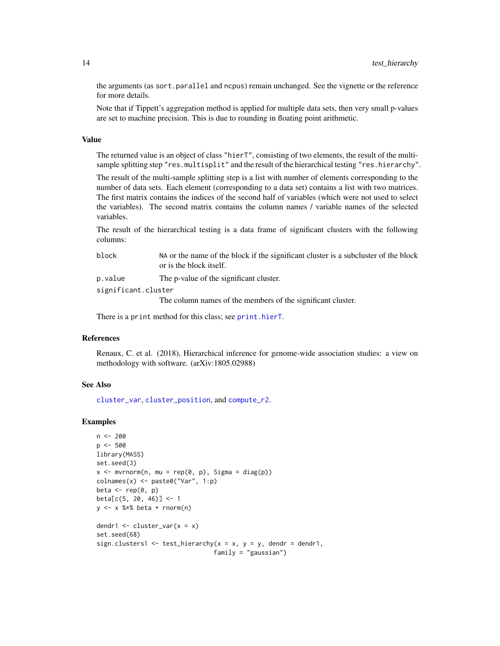the arguments (as sort.parallel and ncpus) remain unchanged. See the vignette or the reference for more details.

Note that if Tippett's aggregation method is applied for multiple data sets, then very small p-values are set to machine precision. This is due to rounding in floating point arithmetic.

#### Value

The returned value is an object of class "hierT", consisting of two elements, the result of the multisample splitting step "res.multisplit" and the result of the hierarchical testing "res.hierarchy".

The result of the multi-sample splitting step is a list with number of elements corresponding to the number of data sets. Each element (corresponding to a data set) contains a list with two matrices. The first matrix contains the indices of the second half of variables (which were not used to select the variables). The second matrix contains the column names / variable names of the selected variables.

The result of the hierarchical testing is a data frame of significant clusters with the following columns:

| block | NA or the name of the block if the significant cluster is a subcluster of the block |
|-------|-------------------------------------------------------------------------------------|
|       | or is the block itself.                                                             |

p.value The p-value of the significant cluster.

significant.cluster

The column names of the members of the significant cluster.

There is a print method for this class; see [print.hierT](#page-9-1).

#### References

Renaux, C. et al. (2018), Hierarchical inference for genome-wide association studies: a view on methodology with software. (arXiv:1805.02988)

#### See Also

[cluster\\_var](#page-3-1), [cluster\\_position](#page-1-1), and [compute\\_r2](#page-5-1).

#### Examples

```
n < -200p <- 500
library(MASS)
set.seed(3)
x \le -mvrnorm(n, mu = rep(0, p), Signa = diag(p))colnames(x) <- paste0("Var", 1:p)
beta \leq rep(0, p)
beta[c(5, 20, 46)] <- 1
y \le -x %*% beta + rnorm(n)
dendr1 \le cluster_var(x = x)
set.seed(68)
sign.clusters1 <- test_hierarchy(x = x, y = y, dendr = dendr1,
                                 family = "gaussian")
```
<span id="page-13-0"></span>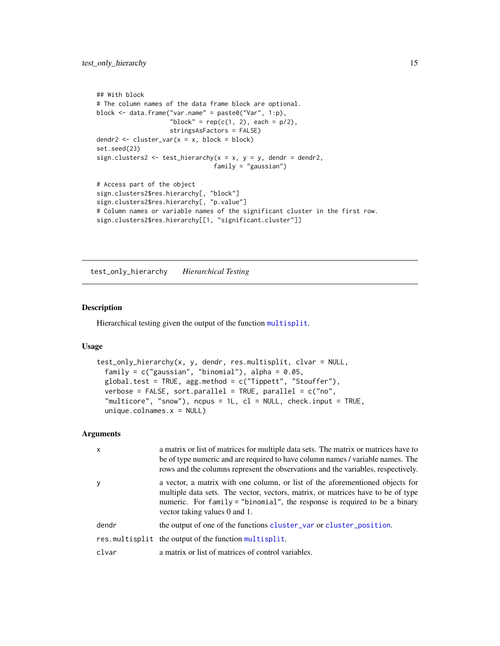```
## With block
# The column names of the data frame block are optional.
block <- data.frame("var.name" = paste0("Var", 1:p),
                    "block" = rep(c(1, 2), each = p/2),
                    stringsAsFactors = FALSE)
dendr2 \le cluster_var(x = x, block = block)
set.seed(23)
sign.clusters2 <- test_hierarchy(x = x, y = y, dendr = dendr2,
                                family = "gaussian")
# Access part of the object
sign.clusters2$res.hierarchy[, "block"]
sign.clusters2$res.hierarchy[, "p.value"]
# Column names or variable names of the significant cluster in the first row.
sign.clusters2$res.hierarchy[[1, "significant.cluster"]]
```
<span id="page-14-1"></span>test\_only\_hierarchy *Hierarchical Testing*

#### Description

Hierarchical testing given the output of the function [multisplit](#page-7-1).

#### Usage

```
test_only_hierarchy(x, y, dendr, res.multisplit, clvar = NULL,
  family = c("gaussian", "binomial"), alpha = 0.05,global.test = TRUE, agg.method = c("Tippett", "Stouffer"),
 verbose = FALSE, sort.parallel = TRUE, parallel = c("no","multicore", "snow"), ncpus = 1L, cl = NULL, check.input = TRUE,
  unique.colnames.x = NULL)
```

| $\mathsf{x}$ | a matrix or list of matrices for multiple data sets. The matrix or matrices have to<br>be of type numeric and are required to have column names / variable names. The<br>rows and the columns represent the observations and the variables, respectively.                      |
|--------------|--------------------------------------------------------------------------------------------------------------------------------------------------------------------------------------------------------------------------------------------------------------------------------|
| y            | a vector, a matrix with one column, or list of the aforementioned objects for<br>multiple data sets. The vector, vectors, matrix, or matrices have to be of type<br>numeric. For family = "binomial", the response is required to be a binary<br>vector taking values 0 and 1. |
| dendr        | the output of one of the functions cluster_var or cluster_position.                                                                                                                                                                                                            |
|              | res.multisplit the output of the function multisplit.                                                                                                                                                                                                                          |
| clvar        | a matrix or list of matrices of control variables.                                                                                                                                                                                                                             |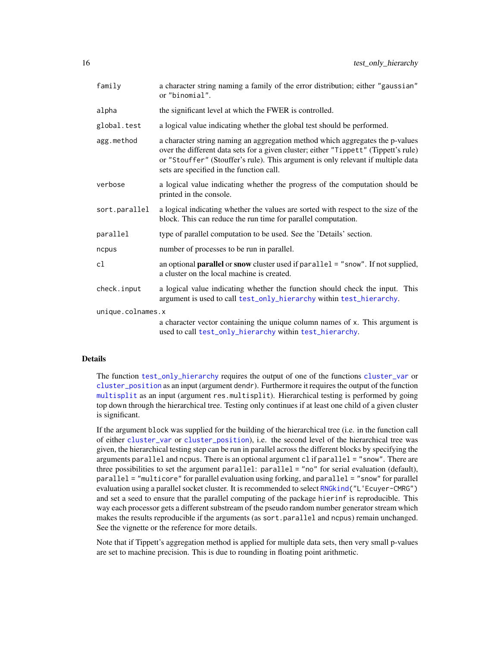<span id="page-15-0"></span>

| family            | a character string naming a family of the error distribution; either "gaussian"<br>or "binomial".                                                                                                                                                                                                    |  |
|-------------------|------------------------------------------------------------------------------------------------------------------------------------------------------------------------------------------------------------------------------------------------------------------------------------------------------|--|
| alpha             | the significant level at which the FWER is controlled.                                                                                                                                                                                                                                               |  |
| global.test       | a logical value indicating whether the global test should be performed.                                                                                                                                                                                                                              |  |
| agg.method        | a character string naming an aggregation method which aggregates the p-values<br>over the different data sets for a given cluster; either "Tippett" (Tippett's rule)<br>or "Stouffer" (Stouffer's rule). This argument is only relevant if multiple data<br>sets are specified in the function call. |  |
| verbose           | a logical value indicating whether the progress of the computation should be<br>printed in the console.                                                                                                                                                                                              |  |
| sort.parallel     | a logical indicating whether the values are sorted with respect to the size of the<br>block. This can reduce the run time for parallel computation.                                                                                                                                                  |  |
| parallel          | type of parallel computation to be used. See the 'Details' section.                                                                                                                                                                                                                                  |  |
| ncpus             | number of processes to be run in parallel.                                                                                                                                                                                                                                                           |  |
| cl                | an optional <b>parallel</b> or snow cluster used if $parallel = "snow".$ If not supplied,<br>a cluster on the local machine is created.                                                                                                                                                              |  |
| check.input       | a logical value indicating whether the function should check the input. This<br>argument is used to call test_only_hierarchy within test_hierarchy.                                                                                                                                                  |  |
| unique.colnames.x |                                                                                                                                                                                                                                                                                                      |  |
|                   | a character vector containing the unique column names of x. This argument is<br>used to call test_only_hierarchy within test_hierarchy.                                                                                                                                                              |  |

#### Details

The function [test\\_only\\_hierarchy](#page-14-1) requires the output of one of the functions [cluster\\_var](#page-3-1) or [cluster\\_position](#page-1-1) as an input (argument dendr). Furthermore it requires the output of the function [multisplit](#page-7-1) as an input (argument res.multisplit). Hierarchical testing is performed by going top down through the hierarchical tree. Testing only continues if at least one child of a given cluster is significant.

If the argument block was supplied for the building of the hierarchical tree (i.e. in the function call of either [cluster\\_var](#page-3-1) or [cluster\\_position](#page-1-1)), i.e. the second level of the hierarchical tree was given, the hierarchical testing step can be run in parallel across the different blocks by specifying the arguments parallel and ncpus. There is an optional argument cl if parallel = "snow". There are three possibilities to set the argument parallel: parallel = "no" for serial evaluation (default), parallel = "multicore" for parallel evaluation using forking, and parallel = "snow" for parallel evaluation using a parallel socket cluster. It is recommended to select [RNGkind\(](#page-0-0)"L'Ecuyer-CMRG") and set a seed to ensure that the parallel computing of the package hierinf is reproducible. This way each processor gets a different substream of the pseudo random number generator stream which makes the results reproducible if the arguments (as sort.parallel and ncpus) remain unchanged. See the vignette or the reference for more details.

Note that if Tippett's aggregation method is applied for multiple data sets, then very small p-values are set to machine precision. This is due to rounding in floating point arithmetic.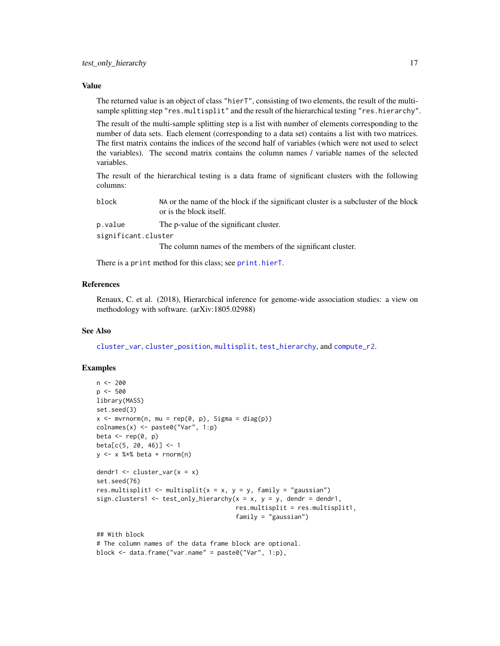#### <span id="page-16-0"></span>Value

The returned value is an object of class "hierT", consisting of two elements, the result of the multisample splitting step "res.multisplit" and the result of the hierarchical testing "res.hierarchy".

The result of the multi-sample splitting step is a list with number of elements corresponding to the number of data sets. Each element (corresponding to a data set) contains a list with two matrices. The first matrix contains the indices of the second half of variables (which were not used to select the variables). The second matrix contains the column names / variable names of the selected variables.

The result of the hierarchical testing is a data frame of significant clusters with the following columns:

| block               | NA or the name of the block if the significant cluster is a subcluster of the block<br>or is the block itself. |
|---------------------|----------------------------------------------------------------------------------------------------------------|
| p.value             | The p-value of the significant cluster.                                                                        |
| significant.cluster |                                                                                                                |
|                     | The column names of the members of the significant cluster.                                                    |

There is a print method for this class; see [print.hierT](#page-9-1).

#### References

Renaux, C. et al. (2018), Hierarchical inference for genome-wide association studies: a view on methodology with software. (arXiv:1805.02988)

#### See Also

[cluster\\_var](#page-3-1), [cluster\\_position](#page-1-1), [multisplit](#page-7-1), [test\\_hierarchy](#page-11-1), and [compute\\_r2](#page-5-1).

#### Examples

```
n < -200p <- 500
library(MASS)
set.seed(3)
x \le - mvrnorm(n, mu = rep(0, p), Sigma = diag(p))
colnames(x) <- paste0("Var", 1:p)
beta \leq rep(0, p)
beta[c(5, 20, 46)] \leftarrow 1y \le -x %*% beta + rnorm(n)
dendr1 <- cluster_var(x = x)
set.seed(76)
res.multisplit1 <- multisplit(x = x, y = y, family = "gaussian")
sign.clusters1 <- test_only_hierarchy(x = x, y = y, dendr = dendr1,
                                       res.multisplit = res.multisplit1,
                                       family = "gaussian")
## With block
# The column names of the data frame block are optional.
```

```
block <- data.frame("var.name" = paste0("Var", 1:p),
```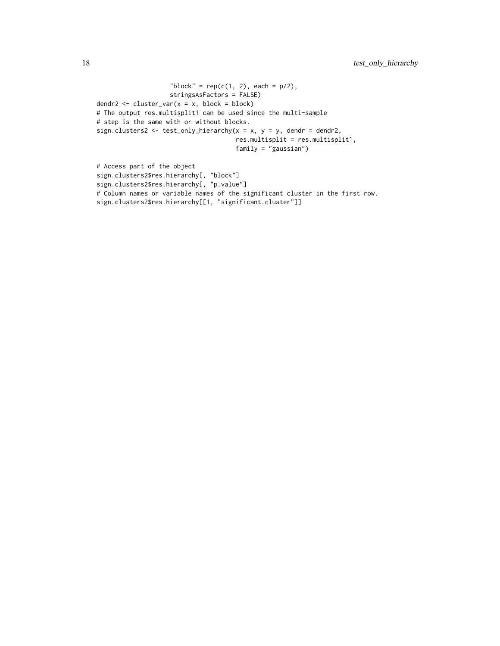```
"block" = rep(c(1, 2), each = p/2),
                    stringsAsFactors = FALSE)
dendr2 <- cluster_var(x = x, block = block)
# The output res.multisplit1 can be used since the multi-sample
# step is the same with or without blocks.
sign.clusters2 <- test_only_hierarchy(x = x, y = y, dendr = dendr2,
                                      res.multisplit = res.multisplit1,
                                      family = "gaussian")
# Access part of the object
sign.clusters2$res.hierarchy[, "block"]
sign.clusters2$res.hierarchy[, "p.value"]
```
# Column names or variable names of the significant cluster in the first row.

sign.clusters2\$res.hierarchy[[1, "significant.cluster"]]